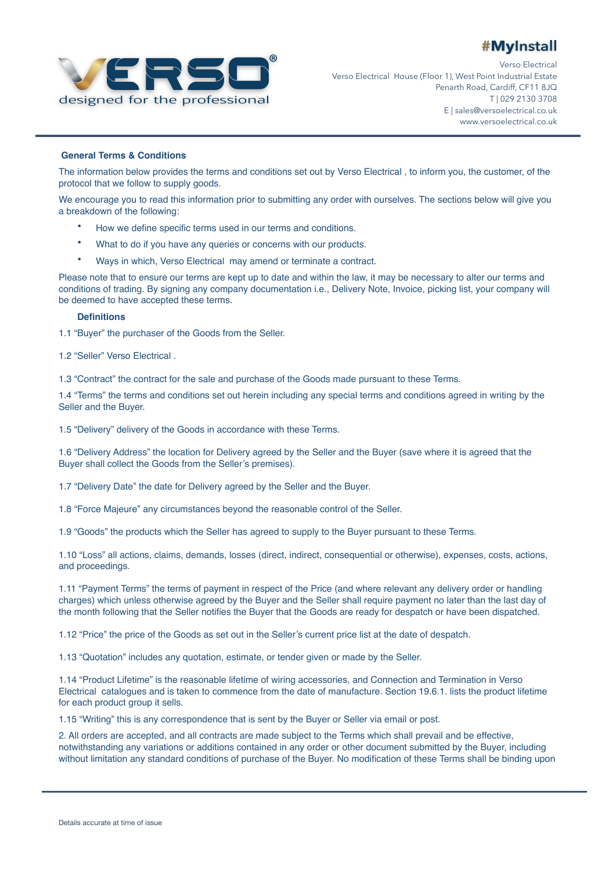

® Verso Electrical Verso Electrical House (Floor 1), West Point Industrial Estate Penarth Road, Cardiff, CF11 8JQ T | 029 2130 3708 E | sales@versoelectrical.co.uk www.versoelectrical.co.uk

#### **General Terms & Conditions**

The information below provides the terms and conditions set out by Verso Electrical , to inform you, the customer, of the protocol that we follow to supply goods.

We encourage you to read this information prior to submitting any order with ourselves. The sections below will give you a breakdown of the following:

- How we define specific terms used in our terms and conditions.
- What to do if you have any queries or concerns with our products.
- Ways in which, Verso Electrical may amend or terminate a contract.

Please note that to ensure our terms are kept up to date and within the law, it may be necessary to alter our terms and conditions of trading. By signing any company documentation i.e., Delivery Note, Invoice, picking list, your company will be deemed to have accepted these terms.

#### **Definitions**

1.1 "Buyer" the purchaser of the Goods from the Seller.

1.2 "Seller" Verso Electrical .

1.3 "Contract" the contract for the sale and purchase of the Goods made pursuant to these Terms.

1.4 "Terms" the terms and conditions set out herein including any special terms and conditions agreed in writing by the Seller and the Buyer.

1.5 "Delivery" delivery of the Goods in accordance with these Terms.

1.6 "Delivery Address" the location for Delivery agreed by the Seller and the Buyer (save where it is agreed that the Buyer shall collect the Goods from the Seller's premises).

1.7 "Delivery Date" the date for Delivery agreed by the Seller and the Buyer.

1.8 "Force Majeure" any circumstances beyond the reasonable control of the Seller.

1.9 "Goods" the products which the Seller has agreed to supply to the Buyer pursuant to these Terms.

1.10 "Loss" all actions, claims, demands, losses (direct, indirect, consequential or otherwise), expenses, costs, actions, and proceedings.

1.11 "Payment Terms" the terms of payment in respect of the Price (and where relevant any delivery order or handling charges) which unless otherwise agreed by the Buyer and the Seller shall require payment no later than the last day of the month following that the Seller notifies the Buyer that the Goods are ready for despatch or have been dispatched.

1.12 "Price" the price of the Goods as set out in the Seller's current price list at the date of despatch.

1.13 "Quotation" includes any quotation, estimate, or tender given or made by the Seller.

1.14 "Product Lifetime" is the reasonable lifetime of wiring accessories, and Connection and Termination in Verso Electrical catalogues and is taken to commence from the date of manufacture. Section 19.6.1. lists the product lifetime for each product group it sells.

1.15 "Writing" this is any correspondence that is sent by the Buyer or Seller via email or post.

2. All orders are accepted, and all contracts are made subject to the Terms which shall prevail and be effective, notwithstanding any variations or additions contained in any order or other document submitted by the Buyer, including without limitation any standard conditions of purchase of the Buyer. No modification of these Terms shall be binding upon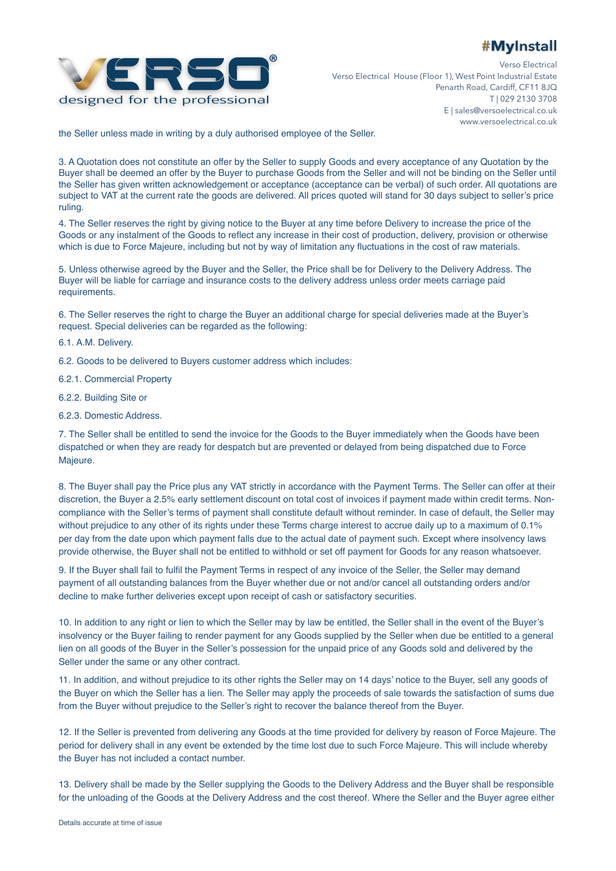

® Verso Electrical Verso Electrical House (Floor 1), West Point Industrial Estate Penarth Road, Cardiff, CF11 8JQ T | 029 2130 3708 E | sales@versoelectrical.co.uk www.versoelectrical.co.uk

the Seller unless made in writing by a duly authorised employee of the Seller.

3. A Quotation does not constitute an offer by the Seller to supply Goods and every acceptance of any Quotation by the Buyer shall be deemed an offer by the Buyer to purchase Goods from the Seller and will not be binding on the Seller until the Seller has given written acknowledgement or acceptance (acceptance can be verbal) of such order. All quotations are subject to VAT at the current rate the goods are delivered. All prices quoted will stand for 30 days subject to seller's price ruling.

4. The Seller reserves the right by giving notice to the Buyer at any time before Delivery to increase the price of the Goods or any instalment of the Goods to reflect any increase in their cost of production, delivery, provision or otherwise which is due to Force Majeure, including but not by way of limitation any fluctuations in the cost of raw materials.

5. Unless otherwise agreed by the Buyer and the Seller, the Price shall be for Delivery to the Delivery Address. The Buyer will be liable for carriage and insurance costs to the delivery address unless order meets carriage paid requirements.

6. The Seller reserves the right to charge the Buyer an additional charge for special deliveries made at the Buyer's request. Special deliveries can be regarded as the following:

6.1. A.M. Delivery.

- 6.2. Goods to be delivered to Buyers customer address which includes:
- 6.2.1. Commercial Property
- 6.2.2. Building Site or
- 6.2.3. Domestic Address.

7. The Seller shall be entitled to send the invoice for the Goods to the Buyer immediately when the Goods have been dispatched or when they are ready for despatch but are prevented or delayed from being dispatched due to Force Majeure.

8. The Buyer shall pay the Price plus any VAT strictly in accordance with the Payment Terms. The Seller can offer at their discretion, the Buyer a 2.5% early settlement discount on total cost of invoices if payment made within credit terms. Noncompliance with the Seller's terms of payment shall constitute default without reminder. In case of default, the Seller may without prejudice to any other of its rights under these Terms charge interest to accrue daily up to a maximum of 0.1% per day from the date upon which payment falls due to the actual date of payment such. Except where insolvency laws provide otherwise, the Buyer shall not be entitled to withhold or set off payment for Goods for any reason whatsoever.

9. If the Buyer shall fail to fulfil the Payment Terms in respect of any invoice of the Seller, the Seller may demand payment of all outstanding balances from the Buyer whether due or not and/or cancel all outstanding orders and/or decline to make further deliveries except upon receipt of cash or satisfactory securities.

10. In addition to any right or lien to which the Seller may by law be entitled, the Seller shall in the event of the Buyer's insolvency or the Buyer failing to render payment for any Goods supplied by the Seller when due be entitled to a general lien on all goods of the Buyer in the Seller's possession for the unpaid price of any Goods sold and delivered by the Seller under the same or any other contract.

11. In addition, and without prejudice to its other rights the Seller may on 14 days' notice to the Buyer, sell any goods of the Buyer on which the Seller has a lien. The Seller may apply the proceeds of sale towards the satisfaction of sums due from the Buyer without prejudice to the Seller's right to recover the balance thereof from the Buyer.

12. If the Seller is prevented from delivering any Goods at the time provided for delivery by reason of Force Majeure. The period for delivery shall in any event be extended by the time lost due to such Force Majeure. This will include whereby the Buyer has not included a contact number.

13. Delivery shall be made by the Seller supplying the Goods to the Delivery Address and the Buyer shall be responsible for the unloading of the Goods at the Delivery Address and the cost thereof. Where the Seller and the Buyer agree either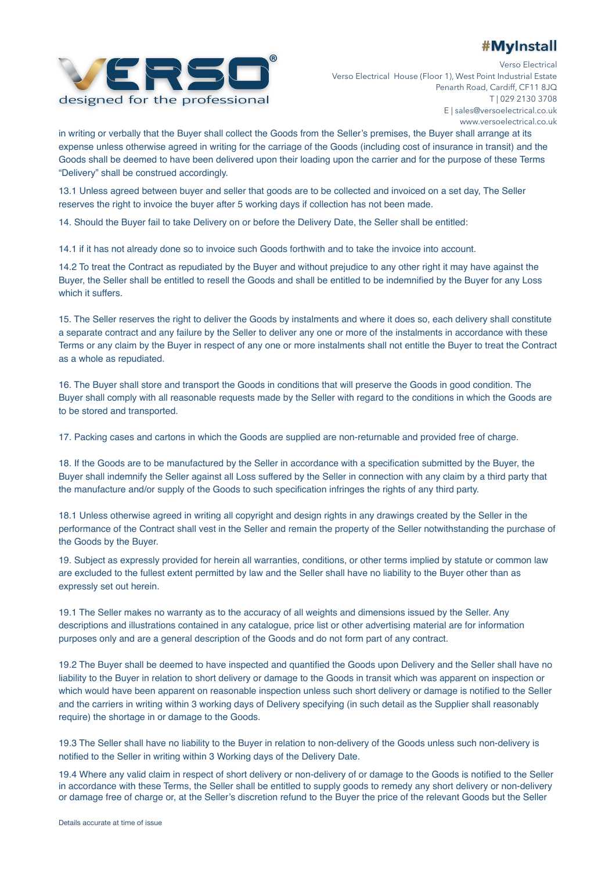

® Verso Electrical Verso Electrical House (Floor 1), West Point Industrial Estate Penarth Road, Cardiff, CF11 8JQ T | 029 2130 3708 E | sales@versoelectrical.co.uk www.versoelectrical.co.uk

in writing or verbally that the Buyer shall collect the Goods from the Seller's premises, the Buyer shall arrange at its expense unless otherwise agreed in writing for the carriage of the Goods (including cost of insurance in transit) and the Goods shall be deemed to have been delivered upon their loading upon the carrier and for the purpose of these Terms "Delivery" shall be construed accordingly.

13.1 Unless agreed between buyer and seller that goods are to be collected and invoiced on a set day, The Seller reserves the right to invoice the buyer after 5 working days if collection has not been made.

14. Should the Buyer fail to take Delivery on or before the Delivery Date, the Seller shall be entitled:

14.1 if it has not already done so to invoice such Goods forthwith and to take the invoice into account.

14.2 To treat the Contract as repudiated by the Buyer and without prejudice to any other right it may have against the Buyer, the Seller shall be entitled to resell the Goods and shall be entitled to be indemnified by the Buyer for any Loss which it suffers.

15. The Seller reserves the right to deliver the Goods by instalments and where it does so, each delivery shall constitute a separate contract and any failure by the Seller to deliver any one or more of the instalments in accordance with these Terms or any claim by the Buyer in respect of any one or more instalments shall not entitle the Buyer to treat the Contract as a whole as repudiated.

16. The Buyer shall store and transport the Goods in conditions that will preserve the Goods in good condition. The Buyer shall comply with all reasonable requests made by the Seller with regard to the conditions in which the Goods are to be stored and transported.

17. Packing cases and cartons in which the Goods are supplied are non-returnable and provided free of charge.

18. If the Goods are to be manufactured by the Seller in accordance with a specification submitted by the Buyer, the Buyer shall indemnify the Seller against all Loss suffered by the Seller in connection with any claim by a third party that the manufacture and/or supply of the Goods to such specification infringes the rights of any third party.

18.1 Unless otherwise agreed in writing all copyright and design rights in any drawings created by the Seller in the performance of the Contract shall vest in the Seller and remain the property of the Seller notwithstanding the purchase of the Goods by the Buyer.

19. Subject as expressly provided for herein all warranties, conditions, or other terms implied by statute or common law are excluded to the fullest extent permitted by law and the Seller shall have no liability to the Buyer other than as expressly set out herein.

19.1 The Seller makes no warranty as to the accuracy of all weights and dimensions issued by the Seller. Any descriptions and illustrations contained in any catalogue, price list or other advertising material are for information purposes only and are a general description of the Goods and do not form part of any contract.

19.2 The Buyer shall be deemed to have inspected and quantified the Goods upon Delivery and the Seller shall have no liability to the Buyer in relation to short delivery or damage to the Goods in transit which was apparent on inspection or which would have been apparent on reasonable inspection unless such short delivery or damage is notified to the Seller and the carriers in writing within 3 working days of Delivery specifying (in such detail as the Supplier shall reasonably require) the shortage in or damage to the Goods.

19.3 The Seller shall have no liability to the Buyer in relation to non-delivery of the Goods unless such non-delivery is notified to the Seller in writing within 3 Working days of the Delivery Date.

19.4 Where any valid claim in respect of short delivery or non-delivery of or damage to the Goods is notified to the Seller in accordance with these Terms, the Seller shall be entitled to supply goods to remedy any short delivery or non-delivery or damage free of charge or, at the Seller's discretion refund to the Buyer the price of the relevant Goods but the Seller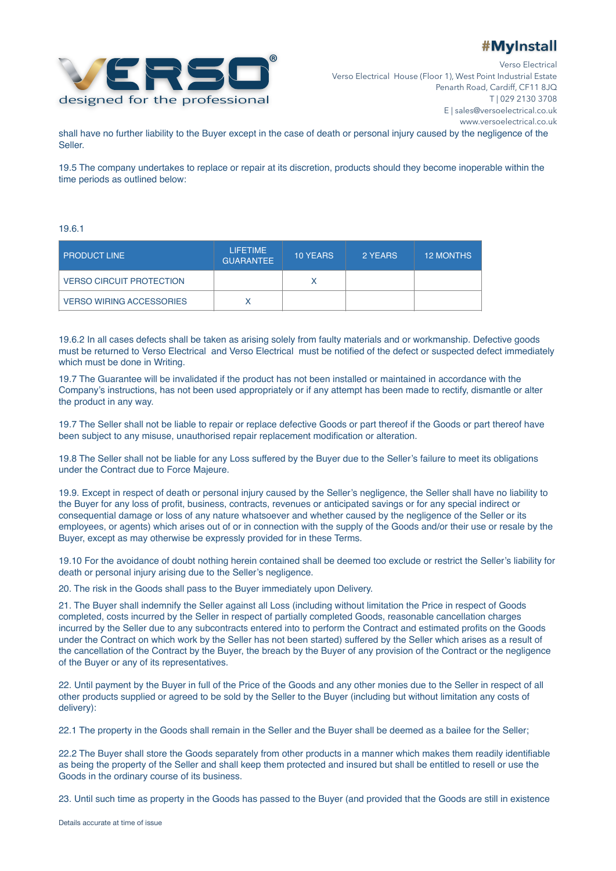

® Verso Electrical Verso Electrical House (Floor 1), West Point Industrial Estate Penarth Road, Cardiff, CF11 8JQ T | 029 2130 3708 E | sales@versoelectrical.co.uk www.versoelectrical.co.uk

shall have no further liability to the Buyer except in the case of death or personal injury caused by the negligence of the Seller.

19.5 The company undertakes to replace or repair at its discretion, products should they become inoperable within the time periods as outlined below:

#### 19.6.1

| <b>PRODUCT LINE</b>             | <b>LIFETIME</b><br><b>GUARANTEE</b> | <b>10 YEARS</b> | 2 YEARS | <b>12 MONTHS</b> |
|---------------------------------|-------------------------------------|-----------------|---------|------------------|
| <b>VERSO CIRCUIT PROTECTION</b> |                                     |                 |         |                  |
| <b>VERSO WIRING ACCESSORIES</b> |                                     |                 |         |                  |

19.6.2 In all cases defects shall be taken as arising solely from faulty materials and or workmanship. Defective goods must be returned to Verso Electrical and Verso Electrical must be notified of the defect or suspected defect immediately which must be done in Writing.

19.7 The Guarantee will be invalidated if the product has not been installed or maintained in accordance with the Company's instructions, has not been used appropriately or if any attempt has been made to rectify, dismantle or alter the product in any way.

19.7 The Seller shall not be liable to repair or replace defective Goods or part thereof if the Goods or part thereof have been subject to any misuse, unauthorised repair replacement modification or alteration.

19.8 The Seller shall not be liable for any Loss suffered by the Buyer due to the Seller's failure to meet its obligations under the Contract due to Force Majeure.

19.9. Except in respect of death or personal injury caused by the Seller's negligence, the Seller shall have no liability to the Buyer for any loss of profit, business, contracts, revenues or anticipated savings or for any special indirect or consequential damage or loss of any nature whatsoever and whether caused by the negligence of the Seller or its employees, or agents) which arises out of or in connection with the supply of the Goods and/or their use or resale by the Buyer, except as may otherwise be expressly provided for in these Terms.

19.10 For the avoidance of doubt nothing herein contained shall be deemed too exclude or restrict the Seller's liability for death or personal injury arising due to the Seller's negligence.

20. The risk in the Goods shall pass to the Buyer immediately upon Delivery.

21. The Buyer shall indemnify the Seller against all Loss (including without limitation the Price in respect of Goods completed, costs incurred by the Seller in respect of partially completed Goods, reasonable cancellation charges incurred by the Seller due to any subcontracts entered into to perform the Contract and estimated profits on the Goods under the Contract on which work by the Seller has not been started) suffered by the Seller which arises as a result of the cancellation of the Contract by the Buyer, the breach by the Buyer of any provision of the Contract or the negligence of the Buyer or any of its representatives.

22. Until payment by the Buyer in full of the Price of the Goods and any other monies due to the Seller in respect of all other products supplied or agreed to be sold by the Seller to the Buyer (including but without limitation any costs of delivery):

22.1 The property in the Goods shall remain in the Seller and the Buyer shall be deemed as a bailee for the Seller;

22.2 The Buyer shall store the Goods separately from other products in a manner which makes them readily identifiable as being the property of the Seller and shall keep them protected and insured but shall be entitled to resell or use the Goods in the ordinary course of its business.

23. Until such time as property in the Goods has passed to the Buyer (and provided that the Goods are still in existence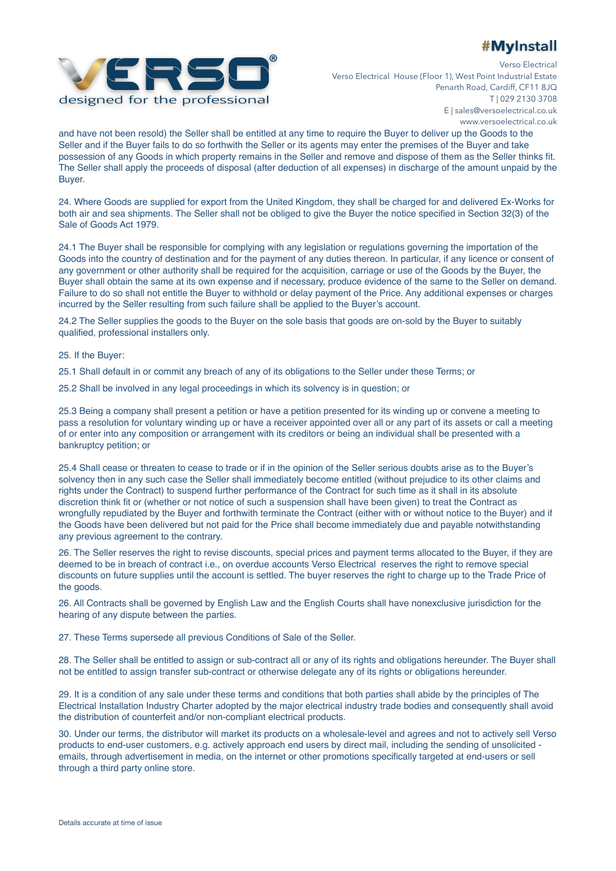

® Verso Electrical Verso Electrical House (Floor 1), West Point Industrial Estate Penarth Road, Cardiff, CF11 8JQ T | 029 2130 3708 E | sales@versoelectrical.co.uk www.versoelectrical.co.uk

and have not been resold) the Seller shall be entitled at any time to require the Buyer to deliver up the Goods to the Seller and if the Buyer fails to do so forthwith the Seller or its agents may enter the premises of the Buyer and take possession of any Goods in which property remains in the Seller and remove and dispose of them as the Seller thinks fit. The Seller shall apply the proceeds of disposal (after deduction of all expenses) in discharge of the amount unpaid by the Buyer.

24. Where Goods are supplied for export from the United Kingdom, they shall be charged for and delivered Ex-Works for both air and sea shipments. The Seller shall not be obliged to give the Buyer the notice specified in Section 32(3) of the Sale of Goods Act 1979.

24.1 The Buyer shall be responsible for complying with any legislation or regulations governing the importation of the Goods into the country of destination and for the payment of any duties thereon. In particular, if any licence or consent of any government or other authority shall be required for the acquisition, carriage or use of the Goods by the Buyer, the Buyer shall obtain the same at its own expense and if necessary, produce evidence of the same to the Seller on demand. Failure to do so shall not entitle the Buyer to withhold or delay payment of the Price. Any additional expenses or charges incurred by the Seller resulting from such failure shall be applied to the Buyer's account.

24.2 The Seller supplies the goods to the Buyer on the sole basis that goods are on-sold by the Buyer to suitably qualified, professional installers only.

25. If the Buyer:

25.1 Shall default in or commit any breach of any of its obligations to the Seller under these Terms; or

25.2 Shall be involved in any legal proceedings in which its solvency is in question; or

25.3 Being a company shall present a petition or have a petition presented for its winding up or convene a meeting to pass a resolution for voluntary winding up or have a receiver appointed over all or any part of its assets or call a meeting of or enter into any composition or arrangement with its creditors or being an individual shall be presented with a bankruptcy petition; or

25.4 Shall cease or threaten to cease to trade or if in the opinion of the Seller serious doubts arise as to the Buyer's solvency then in any such case the Seller shall immediately become entitled (without prejudice to its other claims and rights under the Contract) to suspend further performance of the Contract for such time as it shall in its absolute discretion think fit or (whether or not notice of such a suspension shall have been given) to treat the Contract as wrongfully repudiated by the Buyer and forthwith terminate the Contract (either with or without notice to the Buyer) and if the Goods have been delivered but not paid for the Price shall become immediately due and payable notwithstanding any previous agreement to the contrary.

26. The Seller reserves the right to revise discounts, special prices and payment terms allocated to the Buyer, if they are deemed to be in breach of contract i.e., on overdue accounts Verso Electrical reserves the right to remove special discounts on future supplies until the account is settled. The buyer reserves the right to charge up to the Trade Price of the goods.

26. All Contracts shall be governed by English Law and the English Courts shall have nonexclusive jurisdiction for the hearing of any dispute between the parties.

27. These Terms supersede all previous Conditions of Sale of the Seller.

28. The Seller shall be entitled to assign or sub-contract all or any of its rights and obligations hereunder. The Buyer shall not be entitled to assign transfer sub-contract or otherwise delegate any of its rights or obligations hereunder.

29. It is a condition of any sale under these terms and conditions that both parties shall abide by the principles of The Electrical Installation Industry Charter adopted by the major electrical industry trade bodies and consequently shall avoid the distribution of counterfeit and/or non-compliant electrical products.

30. Under our terms, the distributor will market its products on a wholesale-level and agrees and not to actively sell Verso products to end-user customers, e.g. actively approach end users by direct mail, including the sending of unsolicited emails, through advertisement in media, on the internet or other promotions specifically targeted at end-users or sell through a third party online store.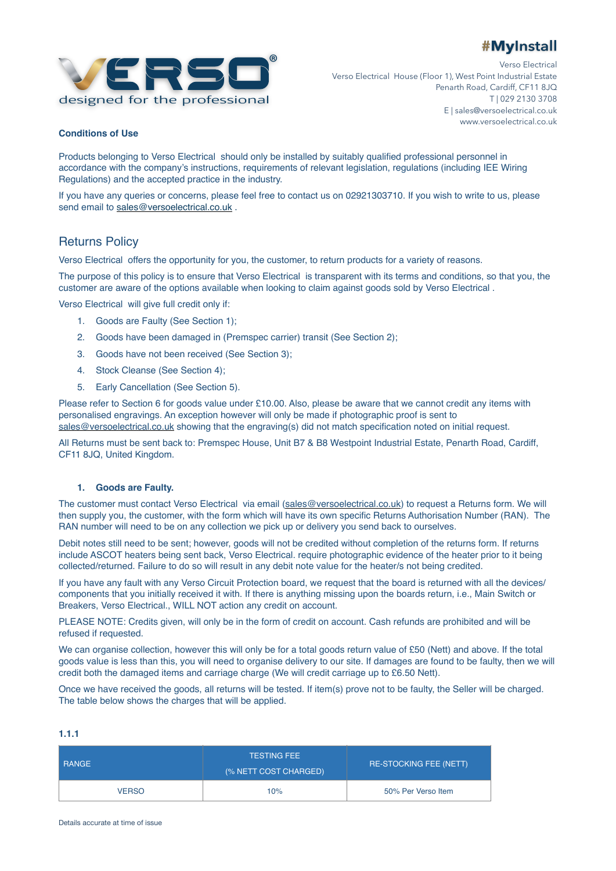

® Verso Electrical Verso Electrical House (Floor 1), West Point Industrial Estate Penarth Road, Cardiff, CF11 8JQ T | 029 2130 3708 E | sales@versoelectrical.co.uk www.versoelectrical.co.uk

### **Conditions of Use**

Products belonging to Verso Electrical should only be installed by suitably qualified professional personnel in accordance with the company's instructions, requirements of relevant legislation, regulations (including IEE Wiring Regulations) and the accepted practice in the industry.

If you have any queries or concerns, please feel free to contact us on 02921303710. If you wish to write to us, please send email to [sales@versoelectrical.co.uk](mailto:sales@versoelectrical.co.uk) .

### Returns Policy

Verso Electrical offers the opportunity for you, the customer, to return products for a variety of reasons.

The purpose of this policy is to ensure that Verso Electrical is transparent with its terms and conditions, so that you, the customer are aware of the options available when looking to claim against goods sold by Verso Electrical .

Verso Electrical will give full credit only if:

- 1. Goods are Faulty (See Section 1);
- 2. Goods have been damaged in (Premspec carrier) transit (See Section 2);
- 3. Goods have not been received (See Section 3);
- 4. Stock Cleanse (See Section 4);
- 5. Early Cancellation (See Section 5).

Please refer to Section 6 for goods value under £10.00. Also, please be aware that we cannot credit any items with personalised engravings. An exception however will only be made if photographic proof is sent to [sales@versoelectrical.co.uk](mailto:sales@versoelectrical.co.uk) showing that the engraving(s) did not match specification noted on initial request.

All Returns must be sent back to: Premspec House, Unit B7 & B8 Westpoint Industrial Estate, Penarth Road, Cardiff, CF11 8JQ, United Kingdom.

#### **1. Goods are Faulty.**

The customer must contact Verso Electrical via email ([sales@versoelectrical.co.uk](mailto:sales@versoelectrical.co.uk)) to request a Returns form. We will then supply you, the customer, with the form which will have its own specific Returns Authorisation Number (RAN). The RAN number will need to be on any collection we pick up or delivery you send back to ourselves.

Debit notes still need to be sent; however, goods will not be credited without completion of the returns form. If returns include ASCOT heaters being sent back, Verso Electrical. require photographic evidence of the heater prior to it being collected/returned. Failure to do so will result in any debit note value for the heater/s not being credited.

If you have any fault with any Verso Circuit Protection board, we request that the board is returned with all the devices/ components that you initially received it with. If there is anything missing upon the boards return, i.e., Main Switch or Breakers, Verso Electrical., WILL NOT action any credit on account.

PLEASE NOTE: Credits given, will only be in the form of credit on account. Cash refunds are prohibited and will be refused if requested.

We can organise collection, however this will only be for a total goods return value of £50 (Nett) and above. If the total goods value is less than this, you will need to organise delivery to our site. If damages are found to be faulty, then we will credit both the damaged items and carriage charge (We will credit carriage up to £6.50 Nett).

Once we have received the goods, all returns will be tested. If item(s) prove not to be faulty, the Seller will be charged. The table below shows the charges that will be applied.

#### **1.1.1**

| <b>RANGE</b> | <b>TESTING FEE</b><br>(% NETT COST CHARGED) | <b>RE-STOCKING FEE (NETT)</b> |  |
|--------------|---------------------------------------------|-------------------------------|--|
| <b>VERSO</b> | 10%                                         | 50% Per Verso Item            |  |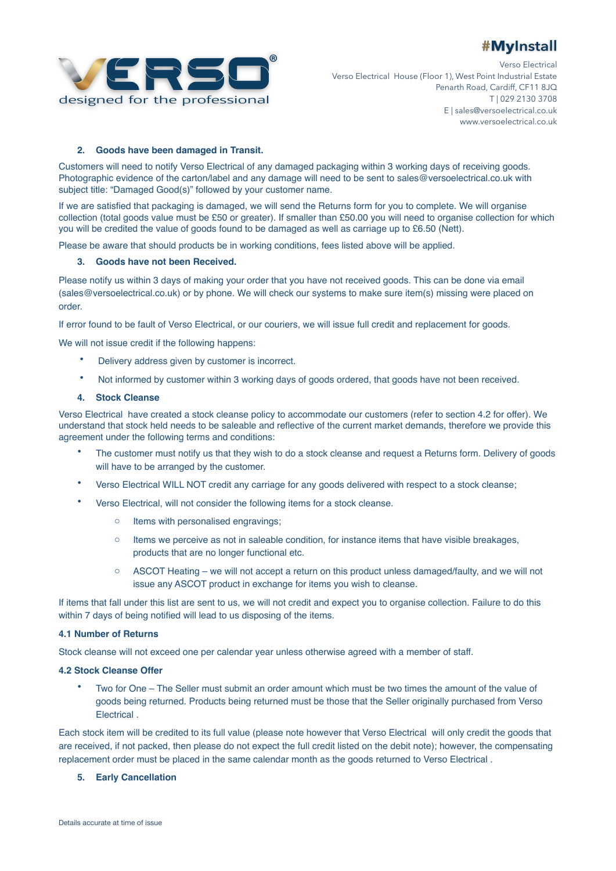



® Verso Electrical Verso Electrical House (Floor 1), West Point Industrial Estate Penarth Road, Cardiff, CF11 8JQ T | 029 2130 3708 E | sales@versoelectrical.co.uk www.versoelectrical.co.uk

#### **2. Goods have been damaged in Transit.**

Customers will need to notify Verso Electrical of any damaged packaging within 3 working days of receiving goods. Photographic evidence of the carton/label and any damage will need to be sent to sales@versoelectrical.co.uk with subject title: "Damaged Good(s)" followed by your customer name.

If we are satisfied that packaging is damaged, we will send the Returns form for you to complete. We will organise collection (total goods value must be £50 or greater). If smaller than £50.00 you will need to organise collection for which you will be credited the value of goods found to be damaged as well as carriage up to £6.50 (Nett).

Please be aware that should products be in working conditions, fees listed above will be applied.

#### **3. Goods have not been Received.**

Please notify us within 3 days of making your order that you have not received goods. This can be done via email (sales@versoelectrical.co.uk) or by phone. We will check our systems to make sure item(s) missing were placed on order.

If error found to be fault of Verso Electrical, or our couriers, we will issue full credit and replacement for goods.

We will not issue credit if the following happens:

- Delivery address given by customer is incorrect.
- Not informed by customer within 3 working days of goods ordered, that goods have not been received.

#### **4. Stock Cleanse**

Verso Electrical have created a stock cleanse policy to accommodate our customers (refer to section 4.2 for offer). We understand that stock held needs to be saleable and reflective of the current market demands, therefore we provide this agreement under the following terms and conditions:

- The customer must notify us that they wish to do a stock cleanse and request a Returns form. Delivery of goods will have to be arranged by the customer.
- Verso Electrical WILL NOT credit any carriage for any goods delivered with respect to a stock cleanse;
- Verso Electrical, will not consider the following items for a stock cleanse.
	- o Items with personalised engravings;
	- $\circ$  Items we perceive as not in saleable condition, for instance items that have visible breakages, products that are no longer functional etc.
	- o ASCOT Heating we will not accept a return on this product unless damaged/faulty, and we will not issue any ASCOT product in exchange for items you wish to cleanse.

If items that fall under this list are sent to us, we will not credit and expect you to organise collection. Failure to do this within 7 days of being notified will lead to us disposing of the items.

#### **4.1 Number of Returns**

Stock cleanse will not exceed one per calendar year unless otherwise agreed with a member of staff.

#### **4.2 Stock Cleanse Offer**

• Two for One – The Seller must submit an order amount which must be two times the amount of the value of goods being returned. Products being returned must be those that the Seller originally purchased from Verso Electrical .

Each stock item will be credited to its full value (please note however that Verso Electrical will only credit the goods that are received, if not packed, then please do not expect the full credit listed on the debit note); however, the compensating replacement order must be placed in the same calendar month as the goods returned to Verso Electrical .

#### **5. Early Cancellation**